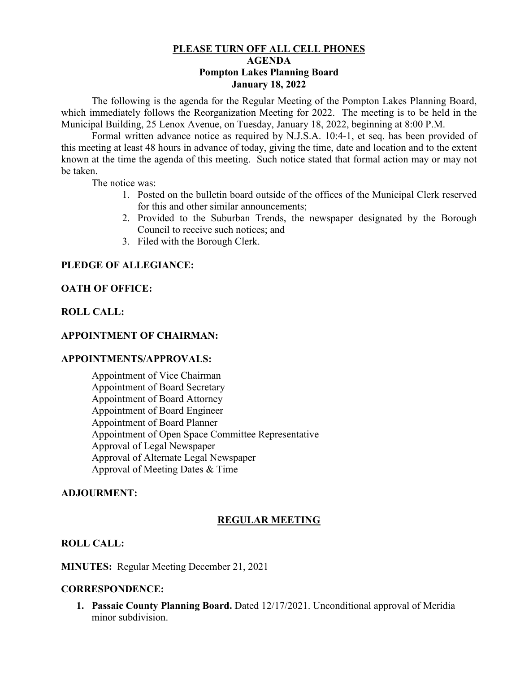## **PLEASE TURN OFF ALL CELL PHONES AGENDA Pompton Lakes Planning Board January 18, 2022**

The following is the agenda for the Regular Meeting of the Pompton Lakes Planning Board, which immediately follows the Reorganization Meeting for 2022. The meeting is to be held in the Municipal Building, 25 Lenox Avenue, on Tuesday, January 18, 2022, beginning at 8:00 P.M.

Formal written advance notice as required by N.J.S.A. 10:4-1, et seq. has been provided of this meeting at least 48 hours in advance of today, giving the time, date and location and to the extent known at the time the agenda of this meeting. Such notice stated that formal action may or may not be taken.

The notice was:

- 1. Posted on the bulletin board outside of the offices of the Municipal Clerk reserved for this and other similar announcements;
- 2. Provided to the Suburban Trends, the newspaper designated by the Borough Council to receive such notices; and
- 3. Filed with the Borough Clerk.

## **PLEDGE OF ALLEGIANCE:**

## **OATH OF OFFICE:**

#### **ROLL CALL:**

## **APPOINTMENT OF CHAIRMAN:**

## **APPOINTMENTS/APPROVALS:**

Appointment of Vice Chairman Appointment of Board Secretary Appointment of Board Attorney Appointment of Board Engineer Appointment of Board Planner Appointment of Open Space Committee Representative Approval of Legal Newspaper Approval of Alternate Legal Newspaper Approval of Meeting Dates & Time

#### **ADJOURMENT:**

## **REGULAR MEETING**

#### **ROLL CALL:**

#### **MINUTES:** Regular Meeting December 21, 2021

## **CORRESPONDENCE:**

**1. Passaic County Planning Board.** Dated 12/17/2021. Unconditional approval of Meridia minor subdivision.